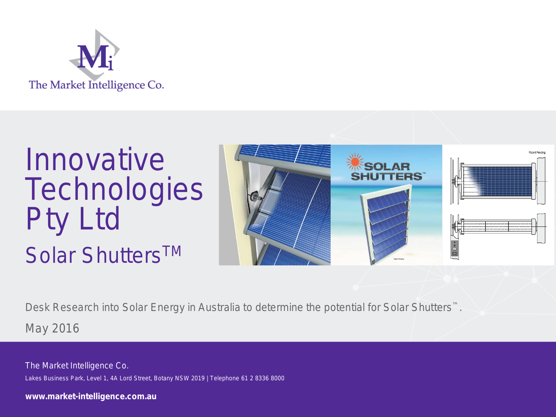

# Innovative **Technologies** Pty Ltd Solar Shutters<sup>™</sup>



Desk Research into Solar Energy in Australia to determine the potential for Solar Shutters™. May 2016

The Market Intelligence Co. Lakes Business Park, Level 1, 4A Lord Street, Botany NSW 2019 | Telephone 61 2 8336 8000

**www.market-intelligence.com.au**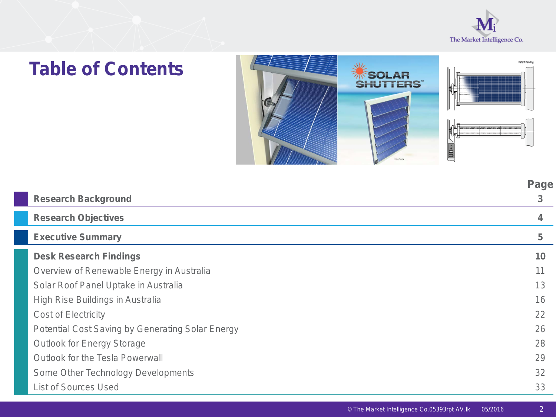

# **Table of Contents**



|                                                         | Page |
|---------------------------------------------------------|------|
| <b>Research Background</b>                              | 3    |
| <b>Research Objectives</b>                              | 4    |
| <b>Executive Summary</b>                                | 5    |
| <b>Desk Research Findings</b>                           | 10   |
| Overview of Renewable Energy in Australia               | 11   |
| Solar Roof Panel Uptake in Australia                    | 13   |
| High Rise Buildings in Australia                        | 16   |
| <b>Cost of Electricity</b>                              | 22   |
| <b>Potential Cost Saving by Generating Solar Energy</b> | 26   |
| <b>Outlook for Energy Storage</b>                       | 28   |
| <b>Outlook for the Tesla Powerwall</b>                  | 29   |
| Some Other Technology Developments                      | 32   |
| <b>List of Sources Used</b>                             | 33   |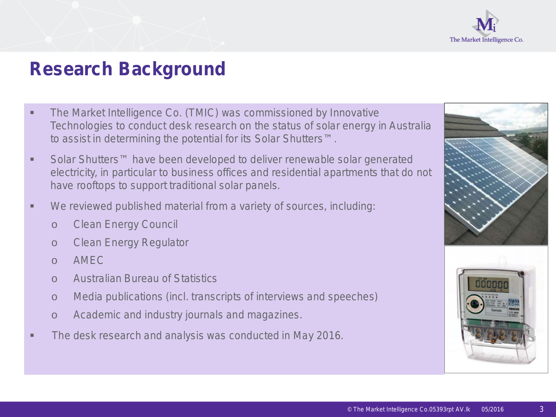

## **Research Background**

- **The Market Intelligence Co. (TMIC) was commissioned by Innovative** Technologies to conduct desk research on the status of solar energy in Australia to assist in determining the potential for its Solar Shutters™.
- Solar Shutters<sup>™</sup> have been developed to deliver renewable solar generated electricity, in particular to business offices and residential apartments that do not have rooftops to support traditional solar panels.
- We reviewed published material from a variety of sources, including:
	- o Clean Energy Council
	- o Clean Energy Regulator
	- $O$  AMFC
	- o Australian Bureau of Statistics
	- o Media publications (incl. transcripts of interviews and speeches)
	- o Academic and industry journals and magazines.
- The desk research and analysis was conducted in May 2016.



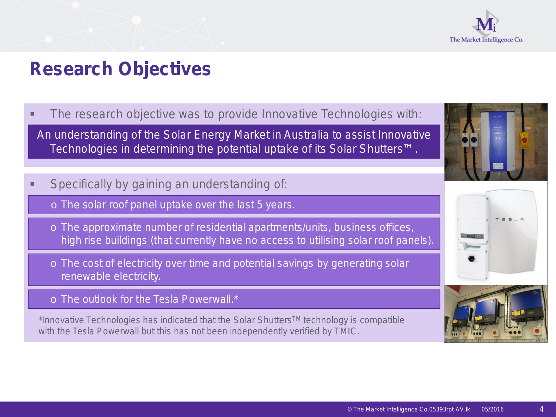

## **Research Objectives**

**The research objective was to provide Innovative Technologies with:** 

An understanding of the Solar Energy Market in Australia to assist Innovative Technologies in determining the potential uptake of its Solar Shutters™.

- Specifically by gaining an understanding of:
	- o The solar roof panel uptake over the last 5 years.
	- o The approximate number of residential apartments/units, business offices, high rise buildings (that currently have no access to utilising solar roof panels).
	- o The cost of electricity over time and potential savings by generating solar renewable electricity.
	- o The outlook for the Tesla Powerwall.\*

\*Innovative Technologies has indicated that the Solar ShuttersTM technology is compatible with the Tesla Powerwall but this has not been independently verified by TMIC.





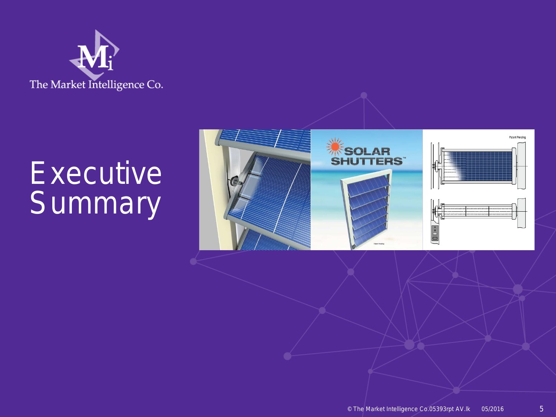

# **Executive Summary**

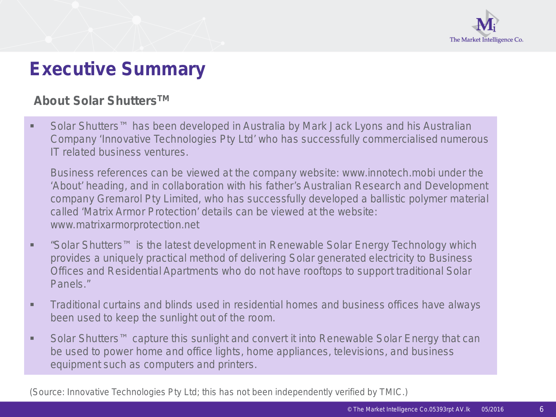

## **Executive Summary**

#### **About Solar ShuttersTM**

■ Solar Shutters<sup>™</sup> has been developed in Australia by Mark Jack Lyons and his Australian Company 'Innovative Technologies Pty Ltd' who has successfully commercialised numerous IT related business ventures.

Business references can be viewed at the company website: www.innotech.mobi under the 'About' heading, and in collaboration with his father's Australian Research and Development company Gremarol Pty Limited, who has successfully developed a ballistic polymer material called 'Matrix Armor Protection' details can be viewed at the website: www.matrixarmorprotection.net

- "Solar Shutters<sup>™</sup> is the latest development in Renewable Solar Energy Technology which provides a uniquely practical method of delivering Solar generated electricity to Business Offices and Residential Apartments who do not have rooftops to support traditional Solar Panels."
- **Traditional curtains and blinds used in residential homes and business offices have always** been used to keep the sunlight out of the room.
- Solar Shutters<sup>™</sup> capture this sunlight and convert it into Renewable Solar Energy that can be used to power home and office lights, home appliances, televisions, and business equipment such as computers and printers.

(Source: Innovative Technologies Pty Ltd; this has not been independently verified by TMIC.)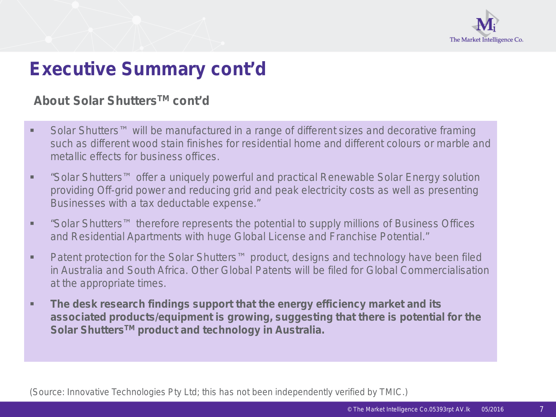

## **Executive Summary cont'd**

#### **About Solar ShuttersTM cont'd**

- Solar Shutters<sup>™</sup> will be manufactured in a range of different sizes and decorative framing such as different wood stain finishes for residential home and different colours or marble and metallic effects for business offices.
- "Solar Shutters<sup>™</sup> offer a uniquely powerful and practical Renewable Solar Energy solution providing Off-grid power and reducing grid and peak electricity costs as well as presenting Businesses with a tax deductable expense."
- "Solar Shutters<sup>™</sup> therefore represents the potential to supply millions of Business Offices and Residential Apartments with huge Global License and Franchise Potential."
- Patent protection for the Solar Shutters<sup>™</sup> product, designs and technology have been filed in Australia and South Africa. Other Global Patents will be filed for Global Commercialisation at the appropriate times.
- **The desk research findings support that the energy efficiency market and its associated products/equipment is growing, suggesting that there is potential for the Solar ShuttersTM product and technology in Australia.**

(Source: Innovative Technologies Pty Ltd; this has not been independently verified by TMIC.)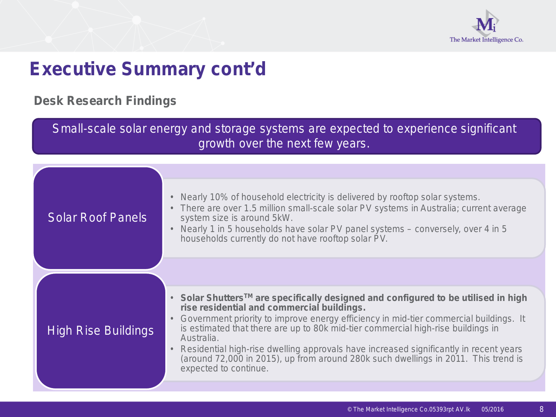

## **Executive Summary cont'd**

#### **Desk Research Findings**

Small-scale solar energy and storage systems are expected to experience significant growth over the next few years.

| <b>Solar Roof Panels</b>   | Nearly 10% of household electricity is delivered by rooftop solar systems.<br>$\bullet$<br>There are over 1.5 million small-scale solar PV systems in Australia; current average<br>$\bullet$<br>system size is around 5kW.<br>Nearly 1 in 5 households have solar PV panel systems – conversely, over 4 in 5<br>households currently do not have rooftop solar PV.                                                                                                                                                                                                       |
|----------------------------|---------------------------------------------------------------------------------------------------------------------------------------------------------------------------------------------------------------------------------------------------------------------------------------------------------------------------------------------------------------------------------------------------------------------------------------------------------------------------------------------------------------------------------------------------------------------------|
|                            |                                                                                                                                                                                                                                                                                                                                                                                                                                                                                                                                                                           |
| <b>High Rise Buildings</b> | • Solar Shutters <sup>TM</sup> are specifically designed and configured to be utilised in high<br>rise residential and commercial buildings.<br>Government priority to improve energy efficiency in mid-tier commercial buildings. It<br>$\bullet$<br>is estimated that there are up to 80k mid-tier commercial high-rise buildings in<br>Australia.<br>Residential high-rise dwelling approvals have increased significantly in recent years<br>$\bullet$<br>(around 72,000 in 2015), up from around 280k such dwellings in 2011. This trend is<br>expected to continue. |
|                            |                                                                                                                                                                                                                                                                                                                                                                                                                                                                                                                                                                           |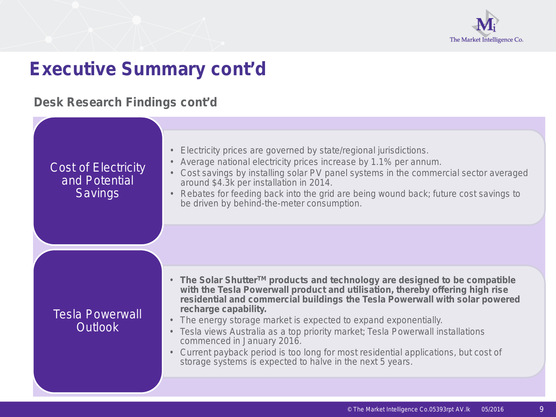

## **Executive Summary cont'd**

### **Desk Research Findings cont'd**

| <b>Cost of Electricity</b><br>and Potential<br><b>Savings</b> | Electricity prices are governed by state/regional jurisdictions.<br>Average national electricity prices increase by 1.1% per annum.<br>Cost savings by installing solar PV panel systems in the commercial sector averaged<br>$\bullet$<br>around \$4.3k per installation in 2014.<br>Rebates for feeding back into the grid are being wound back; future cost savings to<br>$\bullet$<br>be driven by behind-the-meter consumption.                                                                                                                                                                                           |
|---------------------------------------------------------------|--------------------------------------------------------------------------------------------------------------------------------------------------------------------------------------------------------------------------------------------------------------------------------------------------------------------------------------------------------------------------------------------------------------------------------------------------------------------------------------------------------------------------------------------------------------------------------------------------------------------------------|
|                                                               |                                                                                                                                                                                                                                                                                                                                                                                                                                                                                                                                                                                                                                |
| <b>Tesla Powerwall</b><br><b>Outlook</b>                      | • The Solar Shutter <sup>TM</sup> products and technology are designed to be compatible<br>with the Tesla Powerwall product and utilisation, thereby offering high rise<br>residential and commercial buildings the Tesla Powerwall with solar powered<br>recharge capability.<br>The energy storage market is expected to expand exponentially.<br>$\bullet$<br>Tesla views Australia as a top priority market; Tesla Powerwall installations<br>commenced in January 2016.<br>Current payback period is too long for most residential applications, but cost of<br>storage systems is expected to halve in the next 5 years. |
|                                                               |                                                                                                                                                                                                                                                                                                                                                                                                                                                                                                                                                                                                                                |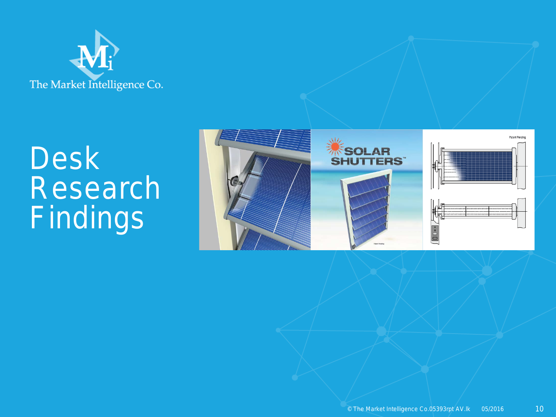

# Desk Research Findings

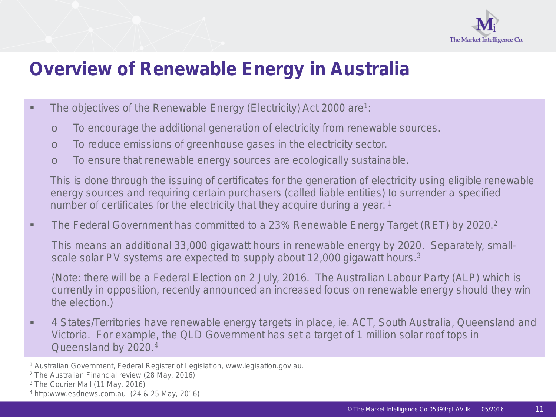

## **Overview of Renewable Energy in Australia**

- The objectives of the Renewable Energy (Electricity) Act 2000 are<sup>1</sup>:
	- o To encourage the additional generation of electricity from renewable sources.
	- o To reduce emissions of greenhouse gases in the electricity sector.
	- o To ensure that renewable energy sources are ecologically sustainable.

This is done through the issuing of certificates for the generation of electricity using eligible renewable energy sources and requiring certain purchasers (called liable entities) to surrender a specified number of certificates for the electricity that they acquire during a year.<sup>1</sup>

The Federal Government has committed to a 23% Renewable Energy Target (RET) by 2020.<sup>2</sup>

This means an additional 33,000 gigawatt hours in renewable energy by 2020. Separately, smallscale solar PV systems are expected to supply about 12,000 gigawatt hours.<sup>3</sup>

(Note: there will be a Federal Election on 2 July, 2016. The Australian Labour Party (ALP) which is currently in opposition, recently announced an increased focus on renewable energy should they win the election.)

■ 4 States/Territories have renewable energy targets in place, ie. ACT, South Australia, Queensland and Victoria. For example, the QLD Government has set a target of 1 million solar roof tops in Queensland by 2020.4

<sup>1</sup> Australian Government, Federal Register of Legislation, www.legisation.gov.au.

<sup>2</sup> The Australian Financial review (28 May, 2016)

<sup>3</sup> The Courier Mail (11 May, 2016)

<sup>4</sup> http:www.esdnews.com.au (24 & 25 May, 2016)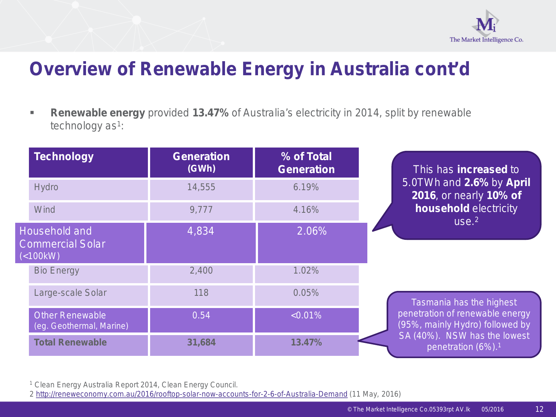

## **Overview of Renewable Energy in Australia cont'd**

 **Renewable energy** provided **13.47%** of Australia's electricity in 2014, split by renewable technology  $as<sup>1</sup>$ :

| <b>Technology</b>                                           | <b>Generation</b><br>(GWh) | % of Total<br><b>Generation</b> | This has <b>increased</b> to                                       |
|-------------------------------------------------------------|----------------------------|---------------------------------|--------------------------------------------------------------------|
| <b>Hydro</b>                                                | 14,555                     | 6.19%                           | 5.0TWh and 2.6% by April<br>2016, or nearly 10% of                 |
| Wind                                                        | 9,777                      | 4.16%                           | household electricity<br>use <sup>2</sup>                          |
| <b>Household and</b><br><b>Commercial Solar</b><br>(<100kW) | 4,834                      | 2.06%                           |                                                                    |
| <b>Bio Energy</b>                                           | 2,400                      | 1.02%                           |                                                                    |
| Large-scale Solar                                           | 118                        | 0.05%                           | Tasmania has the highest                                           |
| <b>Other Renewable</b><br>(eg. Geothermal, Marine)          | 0.54                       | $< 0.01\%$                      | penetration of renewable energy<br>(95%, mainly Hydro) followed by |
| <b>Total Renewable</b>                                      | 31,684                     | 13.47%                          | SA (40%). NSW has the lowest<br>penetration (6%). <sup>1</sup>     |

<sup>1</sup> Clean Energy Australia Report 2014, Clean Energy Council.

2 [http://reneweconomy.com.au/2016/rooftop-solar-now-accounts-for-2-6-of-Australia-Demand](http://reneweconomy.com.au/2016/rooftop-solar-now-accounts-for-2-6-of-Australia-Demand%20(11) (11 May, 2016)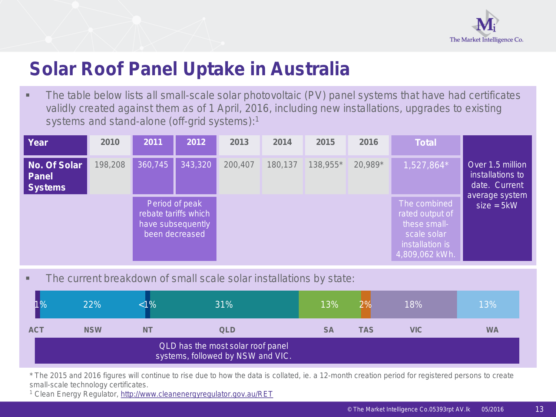

## **Solar Roof Panel Uptake in Australia**

• The table below lists all small-scale solar photovoltaic (PV) panel systems that have had certificates validly created against them as of 1 April, 2016, including new installations, upgrades to existing systems and stand-alone (off-grid systems):1

| Year                                           | 2010    | 2011    | 2012                                                                          | 2013    | 2014    | 2015     | 2016    | <b>Total</b>                                                                                        |                                                                         |
|------------------------------------------------|---------|---------|-------------------------------------------------------------------------------|---------|---------|----------|---------|-----------------------------------------------------------------------------------------------------|-------------------------------------------------------------------------|
| No. Of Solar<br><b>Panel</b><br><b>Systems</b> | 198,208 | 360,745 | 343,320                                                                       | 200,407 | 180,137 | 138,955* | 20,989* | 1,527,864*                                                                                          | Over 1.5 million<br>installations to<br>date. Current<br>average system |
|                                                |         |         | Period of peak<br>rebate tariffs which<br>have subsequently<br>been decreased |         |         |          |         | The combined<br>rated output of<br>these small-<br>scale solar<br>installation is<br>4,809,062 kWh. | $size = 5kW$                                                            |

The current breakdown of small scale solar installations by state:

| 1Yo        | 22%        | %         | 31%                                                                    | 13%       | $\overline{\mathcal{O}}$ | 18%        | 13%       |
|------------|------------|-----------|------------------------------------------------------------------------|-----------|--------------------------|------------|-----------|
| <b>ACT</b> | <b>NSW</b> | <b>NT</b> | <b>QLD</b>                                                             | <b>SA</b> | TAS                      | <b>VIC</b> | <b>WA</b> |
|            |            |           | QLD has the most solar roof panel<br>systems, followed by NSW and VIC. |           |                          |            |           |

\* The 2015 and 2016 figures will continue to rise due to how the data is collated, ie. a 12-month creation period for registered persons to create small-scale technology certificates.

<sup>1</sup> Clean Energy Regulator,<http://www.cleanenergyregulator.gov.au/RET>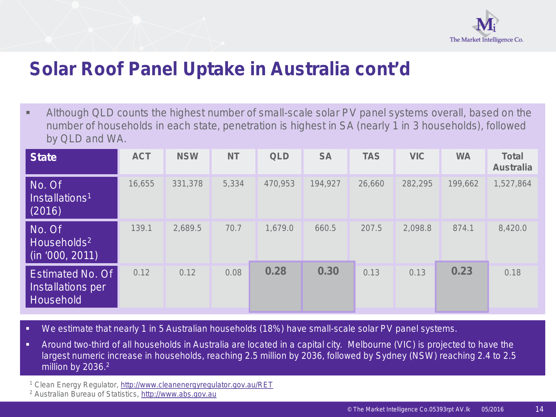

## **Solar Roof Panel Uptake in Australia cont'd**

 Although QLD counts the highest number of small-scale solar PV panel systems overall, based on the number of households in each state, penetration is highest in SA (nearly 1 in 3 households), followed by QLD and WA.

| <b>State</b>                                                 | <b>ACT</b> | <b>NSW</b> | <b>NT</b> | <b>QLD</b> | <b>SA</b> | <b>TAS</b> | <b>VIC</b> | <b>WA</b> | <b>Total</b><br><b>Australia</b> |
|--------------------------------------------------------------|------------|------------|-----------|------------|-----------|------------|------------|-----------|----------------------------------|
| No. Of<br>Installations <sup>1</sup><br>(2016)               | 16,655     | 331,378    | 5,334     | 470,953    | 194,927   | 26,660     | 282,295    | 199,662   | 1,527,864                        |
| No. Of<br>Households <sup>2</sup><br>(in '000, 20 <u>11)</u> | 139.1      | 2,689.5    | 70.7      | 1,679.0    | 660.5     | 207.5      | 2,098.8    | 874.1     | 8,420.0                          |
| <b>Estimated No. Of</b><br>Installations per<br>Household    | 0.12       | 0.12       | 0.08      | 0.28       | 0.30      | 0.13       | 0.13       | 0.23      | 0.18                             |

- We estimate that nearly 1 in 5 Australian households (18%) have small-scale solar PV panel systems.
- Around two-third of all households in Australia are located in a capital city. Melbourne (VIC) is projected to have the largest numeric increase in households, reaching 2.5 million by 2036, followed by Sydney (NSW) reaching 2.4 to 2.5 million by 2036.<sup>2</sup>
- <sup>1</sup> Clean Energy Regulator,<http://www.cleanenergyregulator.gov.au/RET>
- <sup>2</sup> Australian Bureau of Statistics, [http://www.abs.gov.au](http://www.abs.gov.au/)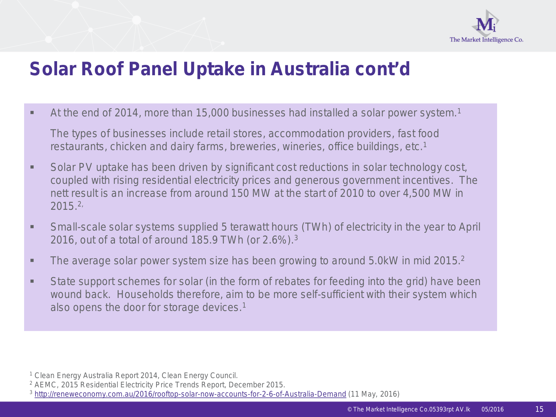

## **Solar Roof Panel Uptake in Australia cont'd**

At the end of 2014, more than 15,000 businesses had installed a solar power system.<sup>1</sup>

The types of businesses include retail stores, accommodation providers, fast food restaurants, chicken and dairy farms, breweries, wineries, office buildings, etc.1

- Solar PV uptake has been driven by significant cost reductions in solar technology cost, coupled with rising residential electricity prices and generous government incentives. The nett result is an increase from around 150 MW at the start of 2010 to over 4,500 MW in 2015.2,
- Small-scale solar systems supplied 5 terawatt hours (TWh) of electricity in the year to April 2016, out of a total of around 185.9 TWh (or 2.6%).3
- The average solar power system size has been growing to around 5.0kW in mid 2015.<sup>2</sup>
- State support schemes for solar (in the form of rebates for feeding into the grid) have been wound back. Households therefore, aim to be more self-sufficient with their system which also opens the door for storage devices.1

<sup>1</sup> Clean Energy Australia Report 2014, Clean Energy Council.

<sup>2</sup> AEMC, 2015 Residential Electricity Price Trends Report, December 2015.

<sup>3</sup> <http://reneweconomy.com.au/2016/rooftop-solar-now-accounts-for-2-6-of-Australia-Demand> (11 May, 2016)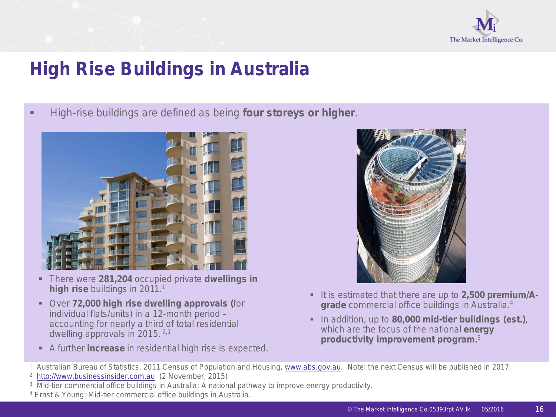

High-rise buildings are defined as being **four storeys or higher**.



- There were **281,204** occupied private **dwellings in high rise buildings in 2011.<sup>1</sup>**
- Over **72,000 high rise dwelling approvals (**for individual flats/units) in a 12-month period – accounting for nearly a third of total residential dwelling approvals in 2015. 2,1
- A further **increase** in residential high rise is expected.



- **It is estimated that there are up to 2,500 premium/Agrade** commercial office buildings in Australia.4
- In addition, up to **80,000 mid-tier buildings (est.)**, which are the focus of the national **energy productivity improvement program.**3
- 1 Australian Bureau of Statistics, 2011 Census of Population and Housing, [www.abs.gov.au](http://www.abs.gov.au/). Note: the next Census will be published in 2017.
- 2 [http://www.businessinsider.com.au](http://www.businessinsider.com.au/) (2 November, 2015)
- 3 Mid-tier commercial office buildings in Australia: A national pathway to improve energy productivity.
- <sup>4</sup> Ernst & Young: Mid-tier commercial office buildings in Australia.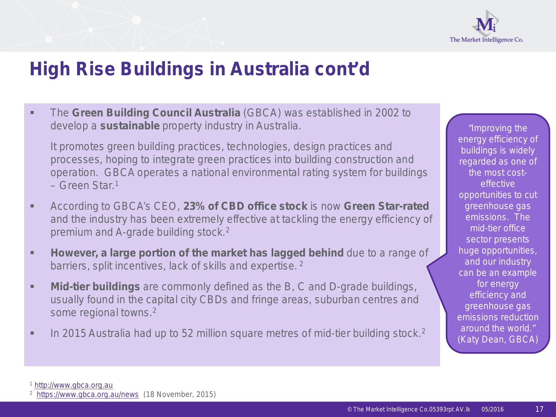

 The **Green Building Council Australia** (GBCA) was established in 2002 to develop a **sustainable** property industry in Australia.

It promotes green building practices, technologies, design practices and processes, hoping to integrate green practices into building construction and operation. GBCA operates a national environmental rating system for buildings  $-$  Green Star<sup>1</sup>

- According to GBCA's CEO, **23% of CBD office stock** is now **Green Star-rated**  and the industry has been extremely effective at tackling the energy efficiency of premium and A-grade building stock.2
- **However, a large portion of the market has lagged behind** due to a range of barriers, split incentives, lack of skills and expertise. 2
- **Mid-tier buildings** are commonly defined as the B, C and D-grade buildings, usually found in the capital city CBDs and fringe areas, suburban centres and some regional towns.2
- In 2015 Australia had up to 52 million square metres of mid-tier building stock.<sup>2</sup>

*"Improving the energy efficiency of buildings is widely regarded as one of the most costeffective opportunities to cut greenhouse gas emissions. The mid-tier office sector presents huge opportunities, and our industry can be an example for energy efficiency and greenhouse gas emissions reduction around the world."*  (Katy Dean, GBCA)

 $\frac{1 \text{ http://www.gbca.org.au}}{2 \text{ https://www.dbca.org.au/news}}$  $\frac{1 \text{ http://www.gbca.org.au}}{2 \text{ https://www.dbca.org.au/news}}$  $\frac{1 \text{ http://www.gbca.org.au}}{2 \text{ https://www.dbca.org.au/news}}$  (18 November, 2015)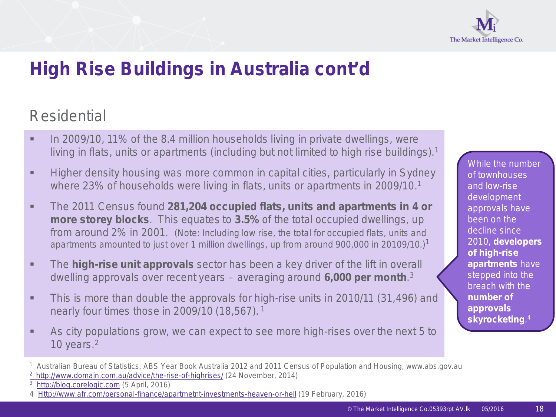

## Residential

- In 2009/10, 11% of the 8.4 million households living in private dwellings, were living in flats, units or apartments (including but not limited to high rise buildings).<sup>1</sup>
- **Higher density housing was more common in capital cities, particularly in Sydney** where 23% of households were living in flats, units or apartments in 2009/10.<sup>1</sup>
- The 2011 Census found **281,204 occupied flats, units and apartments in 4 or more storey blocks**. This equates to **3.5%** of the total occupied dwellings, up from around 2% in 2001. (Note: Including low rise, the total for occupied flats, units and apartments amounted to just over 1 million dwellings, up from around 900,000 in 20109/10.)1
- The **high-rise unit approvals** sector has been a key driver of the lift in overall dwelling approvals over recent years – averaging around **6,000 per month**. 3
- **This is more than double the approvals for high-rise units in 2010/11 (31,496) and** nearly four times those in 2009/10 (18,567). <sup>1</sup>
- As city populations grow, we can expect to see more high-rises over the next 5 to 10 years. 2

While the number of townhouses and low-rise development approvals have been on the decline since 2010, **developers of high-rise apartments** have stepped into the breach with the **number of approvals skyrocketing**. 4

<sup>1</sup> Australian Bureau of Statistics, ABS Year Book Australia 2012 and 2011 Census of Population and Housing, www.abs.gov.au

[<sup>2</sup> http://www.domain.com.au/advice/the-rise-of-highrises/](http://www.domain.com.au/advice/the-rise-of-highrises/) (24 November, 2014)

<sup>3</sup> [http://blog.corelogic.com](http://blog.corelogic.com/) (5 April, 2016)

<sup>4</sup> [Http://www.afr.com/personal-finance/apartmetnt-investments-heaven-or-hell](http://www.afr.com/personal-finance/apartmetnt-investments-heaven-or-hell) (19 February, 2016)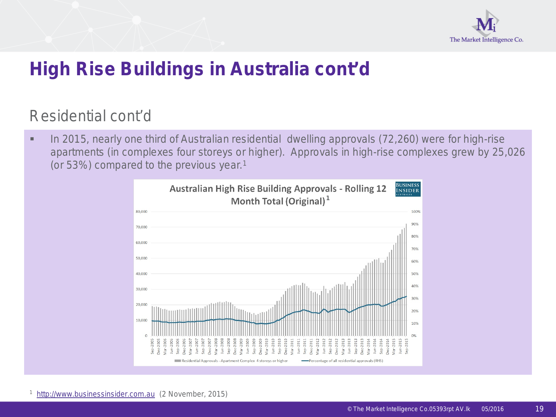

## Residential cont'd

In 2015, nearly one third of Australian residential dwelling approvals (72,260) were for high-rise apartments (in complexes four storeys or higher). Approvals in high-rise complexes grew by 25,026 (or 53%) compared to the previous year.1



1 [http://www.businessinsider.com.au](http://www.businessinsider.com.au/) (2 November, 2015)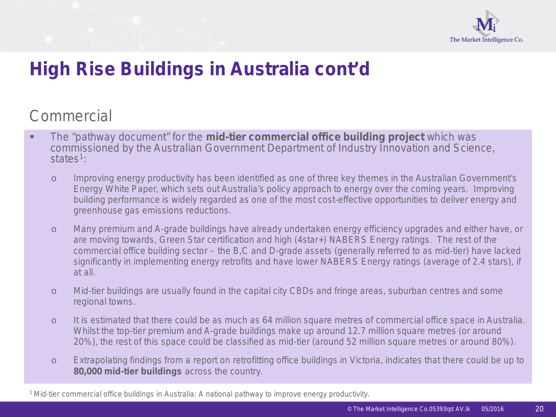

## **Commercial**

- The "pathway document" for the **mid-tier commercial office building project** which was commissioned by the Australian Government Department of Industry Innovation and Science, states<sup>1</sup>:
	- o Improving energy productivity has been identified as one of three key themes in the Australian Government's Energy White Paper, which sets out Australia's policy approach to energy over the coming years. Improving building performance is widely regarded as one of the most cost-effective opportunities to deliver energy and greenhouse gas emissions reductions.
	- o Many premium and A-grade buildings have already undertaken energy efficiency upgrades and either have, or are moving towards, Green Star certification and high (4star+) NABERS Energy ratings. The rest of the commercial office building sector – the B,C and D-grade assets (generally referred to as mid-tier) have lacked significantly in implementing energy retrofits and have lower NABERS Energy ratings (average of 2.4 stars), if at all.
	- o Mid-tier buildings are usually found in the capital city CBDs and fringe areas, suburban centres and some regional towns.
	- o It is estimated that there could be as much as 64 million square metres of commercial office space in Australia. Whilst the top-tier premium and A-grade buildings make up around 12.7 million square metres (or around 20%), the rest of this space could be classified as mid-tier (around 52 million square metres or around 80%).
	- o Extrapolating findings from a report on retrofitting office buildings in Victoria, indicates that there could be up to **80,000 mid-tier buildings** across the country.

<sup>1</sup> Mid-tier commercial office buildings in Australia: A national pathway to improve energy productivity.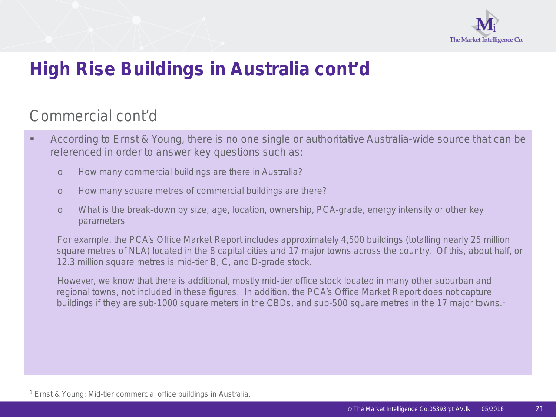

## Commercial cont'd

- **According to Ernst & Young, there is no one single or authoritative Australia-wide source that can be** referenced in order to answer key questions such as:
	- o How many commercial buildings are there in Australia?
	- o How many square metres of commercial buildings are there?
	- o What is the break-down by size, age, location, ownership, PCA-grade, energy intensity or other key parameters

For example, the PCA's Office Market Report includes approximately 4,500 buildings (totalling nearly 25 million square metres of NLA) located in the 8 capital cities and 17 major towns across the country. Of this, about half, or 12.3 million square metres is mid-tier B, C, and D-grade stock.

However, we know that there is additional, mostly mid-tier office stock located in many other suburban and regional towns, not included in these figures. In addition, the PCA's Office Market Report does not capture buildings if they are sub-1000 square meters in the CBDs, and sub-500 square metres in the 17 major towns.<sup>1</sup>

<sup>1</sup> Ernst & Young: Mid-tier commercial office buildings in Australia.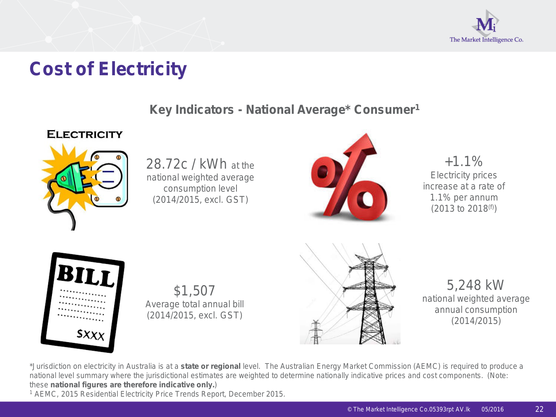

## **Cost of Electricity**

#### **Key Indicators - National Average\* Consumer1**

#### **ELECTRICITY**



28.72c / kWh at the national weighted average consumption level (2014/2015, excl. GST)



 $+1.1%$ Electricity prices increase at a rate of 1.1% per annum  $(2013 \text{ to } 2018^{(f)})$ 



\$1,507 Average total annual bill (2014/2015, excl. GST)



5,248 kW national weighted average annual consumption (2014/2015)

\*Jurisdiction on electricity in Australia is at a *state or regional* level. The Australian Energy Market Commission (AEMC) is required to produce a national level summary where the jurisdictional estimates are weighted to determine nationally indicative prices and cost components. (Note: these **national figures are therefore indicative only.**)

<sup>1</sup> AEMC, 2015 Residential Electricity Price Trends Report, December 2015.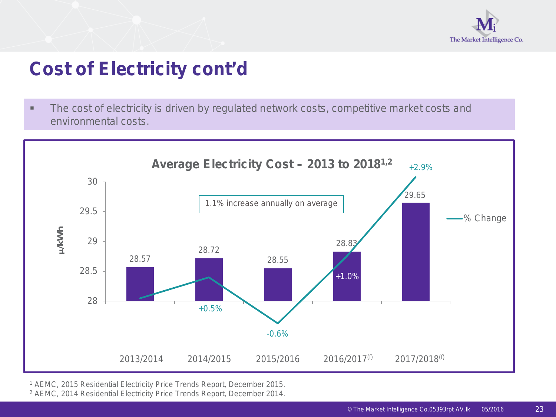

## **Cost of Electricity cont'd**

• The cost of electricity is driven by regulated network costs, competitive market costs and environmental costs.



<sup>1</sup> AEMC, 2015 Residential Electricity Price Trends Report, December 2015.

<sup>2</sup> AEMC, 2014 Residential Electricity Price Trends Report, December 2014.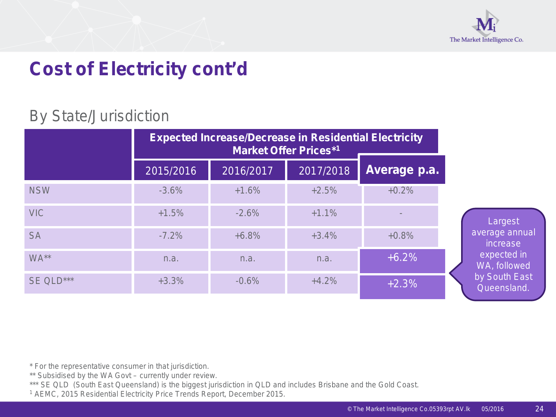

## **Cost of Electricity cont'd**

## By State/Jurisdiction

|            |           | <b>Expected Increase/Decrease in Residential Electricity</b> | <b>Market Offer Prices*1</b> |                          |
|------------|-----------|--------------------------------------------------------------|------------------------------|--------------------------|
|            | 2015/2016 | 2016/2017                                                    | 2017/2018                    | Average p.a.             |
| <b>NSW</b> | $-3.6%$   | $+1.6%$                                                      | $+2.5%$                      | $+0.2%$                  |
| <b>VIC</b> | $+1.5%$   | $-2.6%$                                                      | $+1.1%$                      | $\overline{\phantom{a}}$ |
| <b>SA</b>  | $-7.2%$   | $+6.8%$                                                      | $+3.4%$                      | $+0.8%$                  |
| WA**       | n.a.      | n.a.                                                         | n.a.                         | $+6.2%$                  |
| SE QLD***  | $+3.3%$   | $-0.6%$                                                      | $+4.2%$                      | $+2.3%$                  |

\* For the representative consumer in that jurisdiction.

\*\* Subsidised by the WA Govt – currently under review.

\*\*\* SE QLD (South East Queensland) is the biggest jurisdiction in QLD and includes Brisbane and the Gold Coast.

<sup>1</sup> AEMC, 2015 Residential Electricity Price Trends Report, December 2015.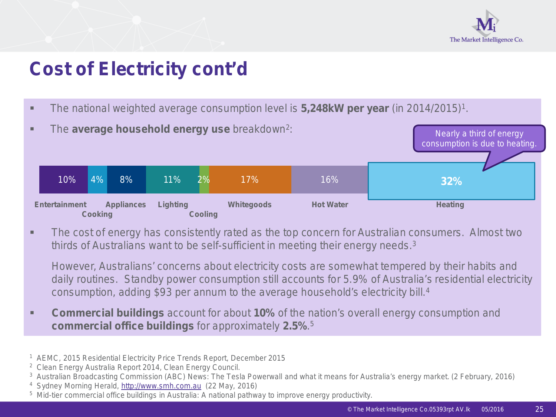

## **Cost of Electricity cont'd**

The national weighted average consumption level is **5,248kW per year** (in 2014/2015)1.



**The cost of energy has consistently rated as the top concern for Australian consumers. Almost two** thirds of Australians want to be self-sufficient in meeting their energy needs.<sup>3</sup>

However, Australians' concerns about electricity costs are somewhat tempered by their habits and daily routines. Standby power consumption still accounts for 5.9% of Australia's residential electricity consumption, adding \$93 per annum to the average household's electricity bill.4

- **Commercial buildings** account for about 10% of the nation's overall energy consumption and **commercial office buildings** for approximately **2.5%**. 5
- 1 AEMC, 2015 Residential Electricity Price Trends Report, December 2015
- 2 Clean Energy Australia Report 2014, Clean Energy Council.
- <sup>3</sup> Australian Broadcasting Commission (ABC) News: The Tesla Powerwall and what it means for Australia's energy market. (2 February, 2016)
- 4 Sydney Morning Herald, [http://www.smh.com.au](http://www.smh.com.au/) (22 May, 2016)
- 5 Mid-tier commercial office buildings in Australia: A national pathway to improve energy productivity.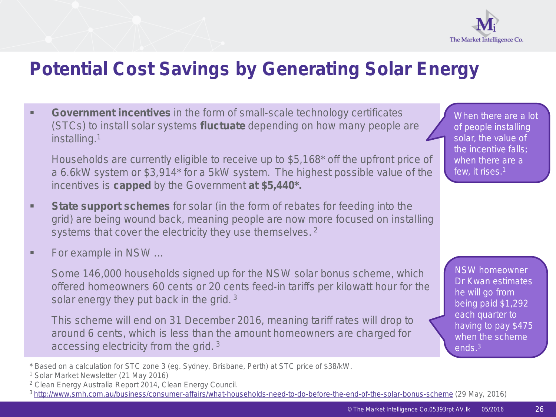

## **Potential Cost Savings by Generating Solar Energy**

**Government incentives** in the form of small-scale technology certificates (STCs) to install solar systems **fluctuate** depending on how many people are installing.1

Households are currently eligible to receive up to \$5,168\* off the upfront price of a 6.6kW system or \$3,914\* for a 5kW system. The highest possible value of the incentives is **capped** by the Government **at \$5,440\*.**

- **State support schemes** for solar (in the form of rebates for feeding into the grid) are being wound back, meaning people are now more focused on installing systems that cover the electricity they use themselves.<sup>2</sup>
- **For example in NSW ...**

Some 146,000 households signed up for the NSW solar bonus scheme, which offered homeowners 60 cents or 20 cents feed-in tariffs per kilowatt hour for the solar energy they put back in the grid.  $3$ 

This scheme will end on 31 December 2016, meaning tariff rates will drop to around 6 cents, which is less than the amount homeowners are charged for accessing electricity from the grid. <sup>3</sup>

- \* Based on a calculation for STC zone 3 (eg. Sydney, Brisbane, Perth) at STC price of \$38/kW.
- <sup>1</sup> Solar Market Newsletter (21 May 2016)
- <sup>2</sup> Clean Energy Australia Report 2014, Clean Energy Council.
- 3 [http://www.smh.com.au/business/consumer-affairs/what-households-need-to-do-before-the-end-of-the-solar-bonus-scheme](http://www.smh.com.au/business/consumer-affairs/what-households-need-to-do-before-the%20-end-of-the-solar-bonus-scheme%20(29) (29 May, 2016)

When there are a lot of people installing solar, the value of the incentive falls; when there are a few, it rises.1

NSW homeowner Dr Kwan estimates he will go from being paid \$1,292 each quarter to having to pay \$475 when the scheme ends.3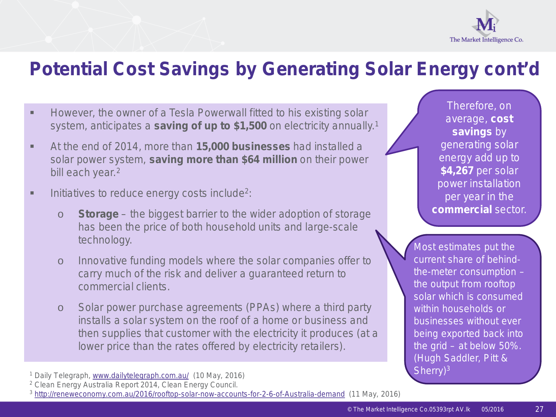

## **Potential Cost Savings by Generating Solar Energy cont'd**

- **However, the owner of a Tesla Powerwall fitted to his existing solar** system, anticipates a **saving of up to \$1,500** on electricity annually.1
- At the end of 2014, more than **15,000 businesses** had installed a solar power system, **saving more than \$64 million** on their power bill each year.<sup>2</sup>
- $\blacksquare$  Initiatives to reduce energy costs include<sup>2</sup>:
	- o *Storage* the biggest barrier to the wider adoption of storage has been the price of both household units and large-scale technology.
	- o Innovative funding models where the solar companies offer to carry much of the risk and deliver a guaranteed return to commercial clients.
	- o Solar power purchase agreements (PPAs) where a third party installs a solar system on the roof of a home or business and then supplies that customer with the electricity it produces (at a lower price than the rates offered by electricity retailers).

<sup>1</sup> Daily Telegraph, [www.dailytelegraph.com.au/](http://www.dailytelegrach.com.au/) (10 May, 2016)

Therefore, on average, **cost savings** by generating solar energy add up to **\$4,267** per solar power installation per year in the **commercial** sector.

*Most estimates put the current share of behindthe-meter consumption – the output from rooftop solar which is consumed within households or businesses without ever being exported back into the grid – at below 50%.*  (Hugh Saddler, Pitt & Sherry)<sup>3</sup>

<sup>2</sup> Clean Energy Australia Report 2014, Clean Energy Council.

<sup>3</sup> <http://reneweconomy.com.au/2016/rooftop-solar-now-accounts-for-2-6-of-Australia-demand>(11 May, 2016)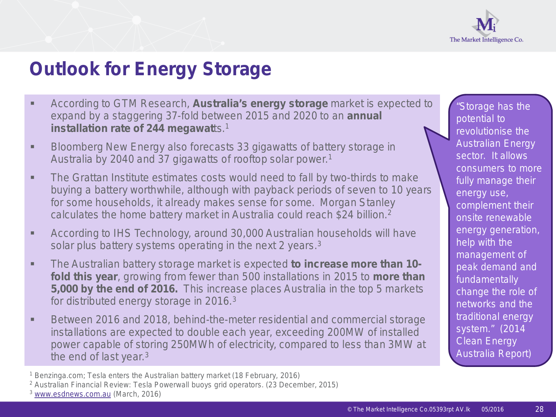

## **Outlook for Energy Storage**

- According to GTM Research, **Australia's energy storage** market is expected to expand by a staggering 37-fold between 2015 and 2020 to an **annual installation rate of 244 megawatts.<sup>1</sup>**
- **Bloomberg New Energy also forecasts 33 gigawatts of battery storage in** Australia by 2040 and 37 gigawatts of rooftop solar power.1
- **The Grattan Institute estimates costs would need to fall by two-thirds to make** buying a battery worthwhile, although with payback periods of seven to 10 years for some households, it already makes sense for some. Morgan Stanley calculates the home battery market in Australia could reach \$24 billion.2
- According to IHS Technology, around 30,000 Australian households will have solar plus battery systems operating in the next 2 years.<sup>3</sup>
- The Australian battery storage market is expected **to increase more than 10 fold this year**, growing from fewer than 500 installations in 2015 to **more than 5,000 by the end of 2016.** This increase places Australia in the top 5 markets for distributed energy storage in 2016.3
- Between 2016 and 2018, behind-the-meter residential and commercial storage installations are expected to double each year, exceeding 200MW of installed power capable of storing 250MWh of electricity, compared to less than 3MW at the end of last year.3

<sup>1</sup> Benzinga.com; Tesla enters the Australian battery market (18 February, 2016)

*"Storage has the potential to revolutionise the Australian Energy sector. It allows consumers to more fully manage their energy use, complement their onsite renewable energy generation, help with the management of peak demand and fundamentally change the role of networks and the traditional energy system."* (2014 Clean Energy Australia Report)

<sup>2</sup> Australian Financial Review: Tesla Powerwall buoys grid operators. (23 December, 2015)

<sup>3</sup> [www.esdnews.com.au](http://www.esdnews.com.au/) (March, 2016)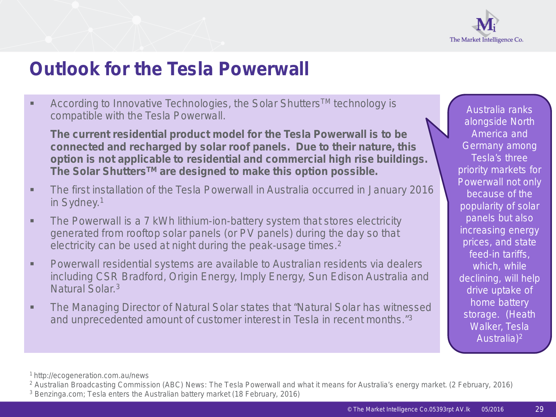

## **Outlook for the Tesla Powerwall**

■ According to Innovative Technologies, the Solar Shutters<sup>™</sup> technology is compatible with the Tesla Powerwall.

**The current residential product model for the Tesla Powerwall is to be connected and recharged by solar roof panels. Due to their nature, this option is not applicable to residential and commercial high rise buildings. The Solar ShuttersTM are designed to make this option possible.**

- The first installation of the Tesla Powerwall in Australia occurred in January 2016 in Sydney.1
- **The Powerwall is a 7 kWh lithium-ion-battery system that stores electricity** generated from rooftop solar panels (or PV panels) during the day so that electricity can be used at night during the peak-usage times.<sup>2</sup>
- Powerwall residential systems are available to Australian residents via dealers including CSR Bradford, Origin Energy, Imply Energy, Sun Edison Australia and Natural Solar<sup>3</sup>
- **The Managing Director of Natural Solar states that "Natural Solar has witnessed** and unprecedented amount of customer interest in Tesla in recent months."3

*Australia ranks alongside North America and Germany among Tesla's three priority markets for Powerwall not only because of the popularity of solar panels but also increasing energy prices, and state feed-in tariffs, which, while declining, will help drive uptake of home battery storage*. (Heath Walker, Tesla Australia)2

<sup>1</sup> http://ecogeneration.com.au/news

<sup>2</sup> Australian Broadcasting Commission (ABC) News: The Tesla Powerwall and what it means for Australia's energy market. (2 February, 2016)

<sup>3</sup> Benzinga.com; Tesla enters the Australian battery market (18 February, 2016)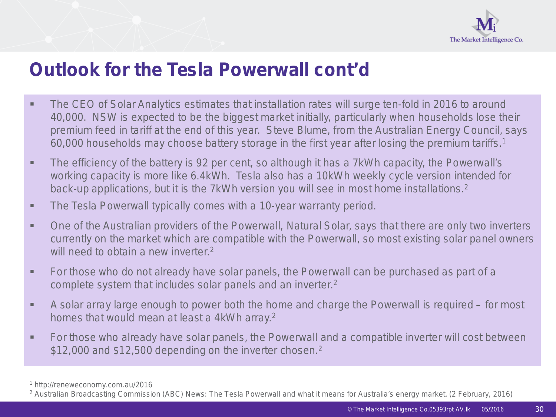

## **Outlook for the Tesla Powerwall cont'd**

- **The CEO of Solar Analytics estimates that installation rates will surge ten-fold in 2016 to around** 40,000. NSW is expected to be the biggest market initially, particularly when households lose their premium feed in tariff at the end of this year. Steve Blume, from the Australian Energy Council, says 60,000 households may choose battery storage in the first year after losing the premium tariffs.1
- The efficiency of the battery is 92 per cent, so although it has a 7kWh capacity, the Powerwall's working capacity is more like 6.4kWh. Tesla also has a 10kWh weekly cycle version intended for back-up applications, but it is the 7kWh version you will see in most home installations.<sup>2</sup>
- **The Tesla Powerwall typically comes with a 10-year warranty period.**
- One of the Australian providers of the Powerwall, Natural Solar, says that there are only two inverters currently on the market which are compatible with the Powerwall, so most existing solar panel owners will need to obtain a new inverter  $2$
- **For those who do not already have solar panels, the Powerwall can be purchased as part of a** complete system that includes solar panels and an inverter.2
- A solar array large enough to power both the home and charge the Powerwall is required for most homes that would mean at least a 4kWh array.2
- For those who already have solar panels, the Powerwall and a compatible inverter will cost between \$12,000 and \$12,500 depending on the inverter chosen.<sup>2</sup>

<sup>1</sup> http://reneweconomy.com.au/2016

<sup>2</sup> Australian Broadcasting Commission (ABC) News: The Tesla Powerwall and what it means for Australia's energy market. (2 February, 2016)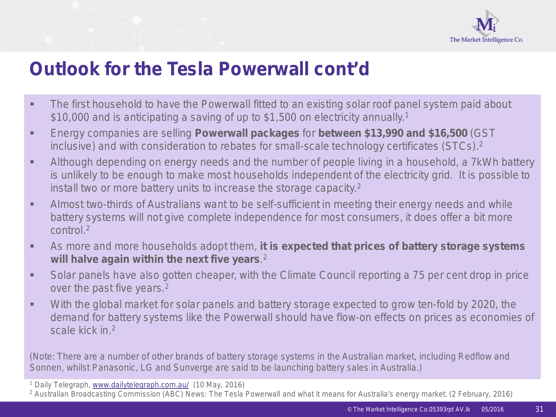

## **Outlook for the Tesla Powerwall cont'd**

- **The first household to have the Powerwall fitted to an existing solar roof panel system paid about** \$10,000 and is anticipating a saving of up to \$1,500 on electricity annually.<sup>1</sup>
- Energy companies are selling **Powerwall packages** for **between \$13,990 and \$16,500** (GST inclusive) and with consideration to rebates for small-scale technology certificates (STCs).2
- Although depending on energy needs and the number of people living in a household, a 7kWh battery is unlikely to be enough to make most households independent of the electricity grid. It is possible to install two or more battery units to increase the storage capacity.2
- Almost two-thirds of Australians want to be self-sufficient in meeting their energy needs and while battery systems will not give complete independence for most consumers, it does offer a bit more control<sup>2</sup>
- As more and more households adopt them, **it is expected that prices of battery storage systems will halve again within the next five years**. 2
- Solar panels have also gotten cheaper, with the Climate Council reporting a 75 per cent drop in price over the past five years.<sup>2</sup>
- With the global market for solar panels and battery storage expected to grow ten-fold by 2020, the demand for battery systems like the Powerwall should have flow-on effects on prices as economies of scale kick in.2

(Note: There are a number of other brands of battery storage systems in the Australian market, including Redflow and Sonnen, whilst Panasonic, LG and Sunverge are said to be launching battery sales in Australia.)

<sup>1</sup> Daily Telegraph, [www.dailytelegraph.com.au/](http://www.dailytelegrach.com.au/) (10 May, 2016)

<sup>2</sup> Australian Broadcasting Commission (ABC) News: The Tesla Powerwall and what it means for Australia's energy market. (2 February, 2016)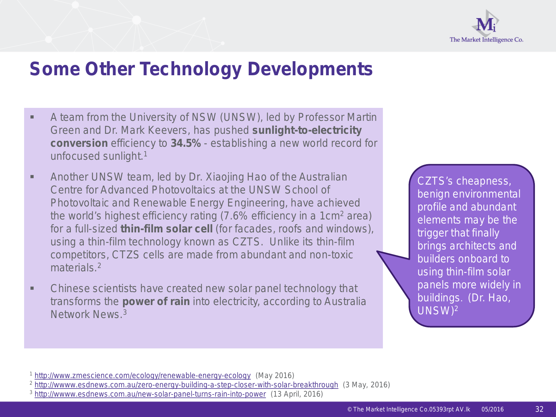

## **Some Other Technology Developments**

- A team from the University of NSW (UNSW), led by Professor Martin Green and Dr. Mark Keevers, has pushed **sunlight-to-electricity conversion** efficiency to **34.5%** - establishing a new world record for unfocused sunlight.1
- Another UNSW team, led by Dr. Xiaojing Hao of the Australian Centre for Advanced Photovoltaics at the UNSW School of Photovoltaic and Renewable Energy Engineering, have achieved the world's highest efficiency rating (7.6% efficiency in a 1cm2 area) for a full-sized **thin-film solar cell** (for facades, roofs and windows), using a thin-film technology known as CZTS. Unlike its thin-film competitors, CTZS cells are made from abundant and non-toxic materials.<sup>2</sup>
- Chinese scientists have created new solar panel technology that transforms the **power of rain** into electricity, according to Australia Network News<sup>3</sup>

*CZTS's cheapness, benign environmental profile and abundant elements may be the trigger that finally brings architects and builders onboard to using thin-film solar panels more widely in buildings*. (Dr. Hao, UNSW)2

<sup>1</sup> <http://www.zmescience.com/ecology/renewable-energy-ecology>(May 2016)

<sup>2</sup> <http://wwww.esdnews.com.au/zero-energy-building-a-step-closer-with-solar-breakthrough> (3 May, 2016)

<sup>3</sup> <http://wwww.esdnews.com.au/new-solar-panel-turns-rain-into-power> (13 April, 2016)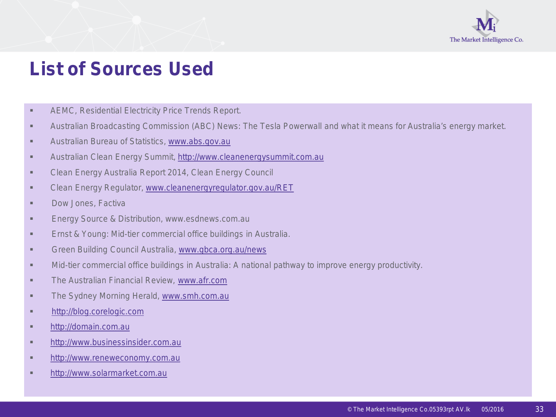

## **List of Sources Used**

- **AEMC, Residential Electricity Price Trends Report.**
- Australian Broadcasting Commission (ABC) News: The Tesla Powerwall and what it means for Australia's energy market.
- **Australian Bureau of Statistics, [www.abs.gov.au](http://www.abs.gov.au/)**
- Australian Clean Energy Summit, [http://www.cleanenergysummit.com.au](http://www.cleanenergysummit.com.au/)
- **Example 2014, Clean Energy Australia Report 2014, Clean Energy Council**
- **EXECT** Clean Energy Regulator, [www.cleanenergyregulator.gov.au/RET](http://www.cleanenergyregulator.gov.au/RET)
- **Dow Jones, Factiva**
- **Energy Source & Distribution, www.esdnews.com.au**
- **Ernst & Young: Mid-tier commercial office buildings in Australia.**
- Green Building Council Australia, [www.gbca.org.au/news](https://www.gbca.org.au/news)
- Mid-tier commercial office buildings in Australia: A national pathway to improve energy productivity.
- **The Australian Financial Review, [www.afr.com](http://www.smh.com.au/)**
- **The Sydney Morning Herald, [www.smh.com.au](http://www.smh.com.au/)**
- **[http://blog.corelogic.com](http://blog.corelogic.com/)**
- **[http://domain.com.au](http://domain.com.au/)**
- **[http://www.businessinsider.com.au](http://www.businessinsider.com.au/)**
- **[http://www.reneweconomy.com.au](http://wwww.reneweconomy.com.au/)**
- **[http://www.solarmarket.com.au](http://www.solarmarket.com.au/)**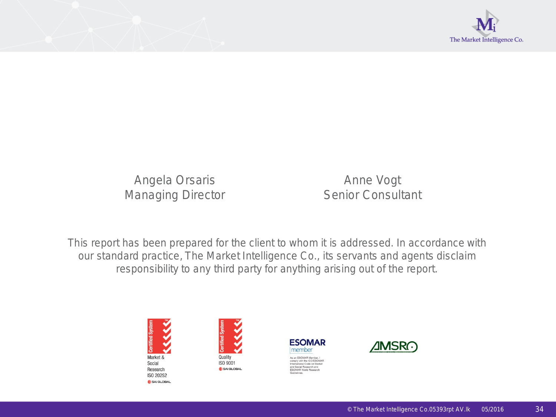

Angela Orsaris **Anne Vogt** Managing Director **Senior Consultant** 

This report has been prepared for the client to whom it is addressed. In accordance with our standard practice, The Market Intelligence Co., its servants and agents disclaim responsibility to any third party for anything arising out of the report.







**AMSRO**